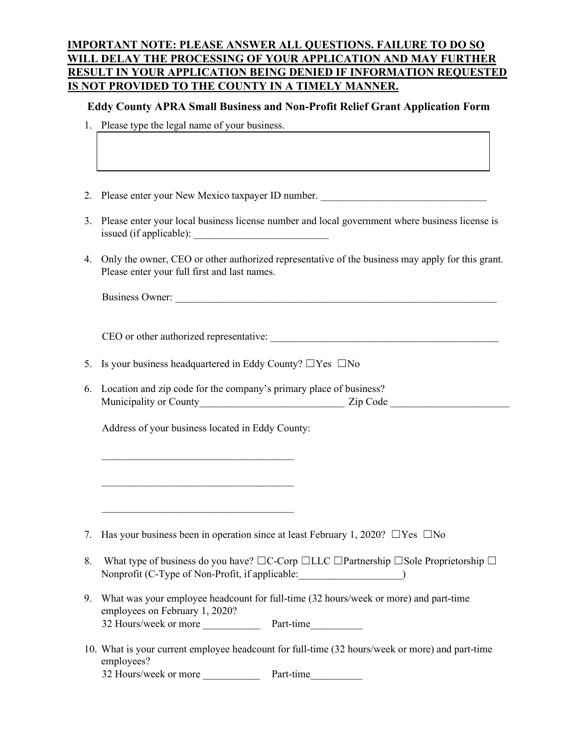# **IMPORTANT NOTE: PLEASE ANSWER ALL QUESTIONS. FAILURE TO DO SO WILL DELAY THE PROCESSING OF YOUR APPLICATION AND MAY FURTHER RESULT IN YOUR APPLICATION BEING DENIED IF INFORMATION REQUESTED IS NOT PROVIDED TO THE COUNTY IN A TIMELY MANNER.**

#### **Eddy County APRA Small Business and Non-Profit Relief Grant Application Form**

- 1. Please type the legal name of your business.
- 2. Please enter your New Mexico taxpayer ID number.
- 3. Please enter your local business license number and local government where business license is  $is sued (if applicable):$
- 4. Only the owner, CEO or other authorized representative of the business may apply for this grant. Please enter your full first and last names.

| <b>Business Owner:</b> |  |
|------------------------|--|
|                        |  |

CEO or other authorized representative:

- 5. Is your business headquartered in Eddy County?  $\Box$  Yes  $\Box$  No
- 6. Location and zip code for the company's primary place of business? Municipality or County\_\_\_\_\_\_\_\_\_\_\_\_\_\_\_\_\_\_\_\_\_\_\_\_\_\_\_\_ Zip Code \_\_\_\_\_\_\_\_\_\_\_\_\_\_\_\_\_\_\_\_\_\_\_

Address of your business located in Eddy County:

 $\mathcal{L}_\mathcal{L}$  , where  $\mathcal{L}_\mathcal{L}$  is the set of the set of the set of the set of the set of the set of the set of the set of the set of the set of the set of the set of the set of the set of the set of the set of the

\_\_\_\_\_\_\_\_\_\_\_\_\_\_\_\_\_\_\_\_\_\_\_\_\_\_\_\_\_\_\_\_\_\_\_\_\_

 $\mathcal{L}_\mathcal{L}$  , where  $\mathcal{L}_\mathcal{L}$  is the set of the set of the set of the set of the set of the set of the set of the set of the set of the set of the set of the set of the set of the set of the set of the set of the

- 7. Has your business been in operation since at least February 1, 2020?  $\Box$ Yes  $\Box$ No
- 8. What type of business do you have?  $□C$ -Corp  $□LLC$   $□Partnership$   $□Sole$  Proprietorship  $□$ Nonprofit (C-Type of Non-Profit, if applicable:
- 9. What was your employee headcount for full-time (32 hours/week or more) and part-time employees on February 1, 2020? 32 Hours/week or more Part-time
- 10. What is your current employee headcount for full-time (32 hours/week or more) and part-time employees? 32 Hours/week or more Part-time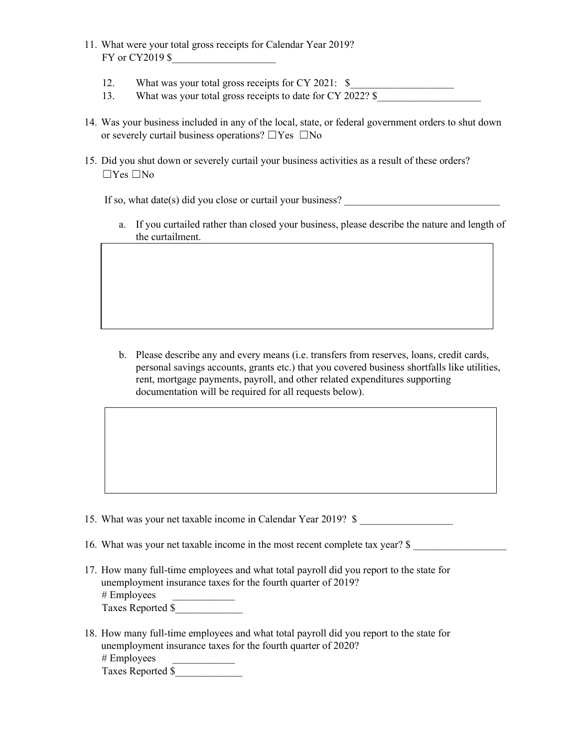- 11. What were your total gross receipts for Calendar Year 2019? FY or CY2019 \$
	- 12. What was your total gross receipts for CY 2021: \$
	- 13. What was your total gross receipts to date for CY 2022? \$
- 14. Was your business included in any of the local, state, or federal government orders to shut down or severely curtail business operations?  $\square$  Yes  $\square$  No
- 15. Did you shut down or severely curtail your business activities as a result of these orders?  $\Box$ Yes  $\Box$ No

If so, what date(s) did you close or curtail your business?

a. If you curtailed rather than closed your business, please describe the nature and length of the curtailment.

b. Please describe any and every means (i.e. transfers from reserves, loans, credit cards, personal savings accounts, grants etc.) that you covered business shortfalls like utilities, rent, mortgage payments, payroll, and other related expenditures supporting documentation will be required for all requests below).

- 15. What was your net taxable income in Calendar Year 2019? \$
- 16. What was your net taxable income in the most recent complete tax year? \$
- 17. How many full-time employees and what total payroll did you report to the state for unemployment insurance taxes for the fourth quarter of 2019?  $#$  Employees Taxes Reported \$\_\_\_\_\_\_\_\_\_\_\_\_\_
- 18. How many full-time employees and what total payroll did you report to the state for unemployment insurance taxes for the fourth quarter of 2020? # Employees Taxes Reported \$\_\_\_\_\_\_\_\_\_\_\_\_\_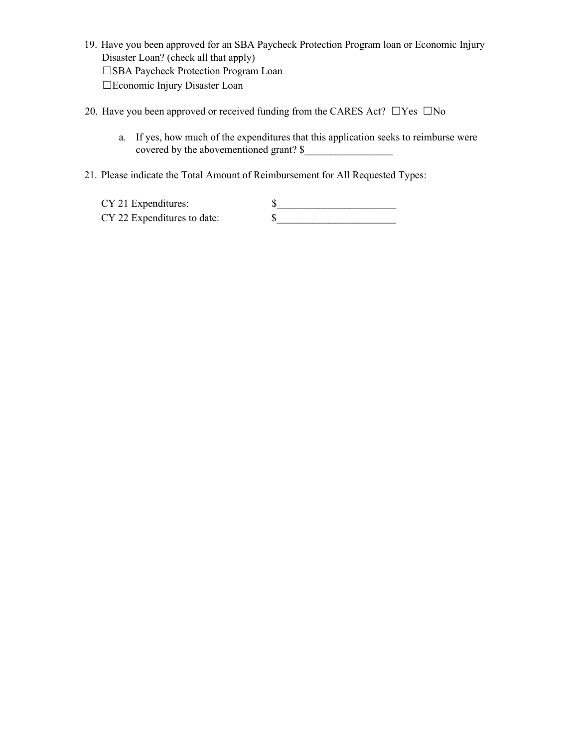- 19. Have you been approved for an SBA Paycheck Protection Program loan or Economic Injury Disaster Loan? (check all that apply) ☐SBA Paycheck Protection Program Loan ☐Economic Injury Disaster Loan
- 20. Have you been approved or received funding from the CARES Act?  $\Box$  Yes  $\Box$  No
	- a. If yes, how much of the expenditures that this application seeks to reimburse were covered by the abovementioned grant?  $\$
- 21. Please indicate the Total Amount of Reimbursement for All Requested Types:

| CY 21 Expenditures:         |  |
|-----------------------------|--|
| CY 22 Expenditures to date: |  |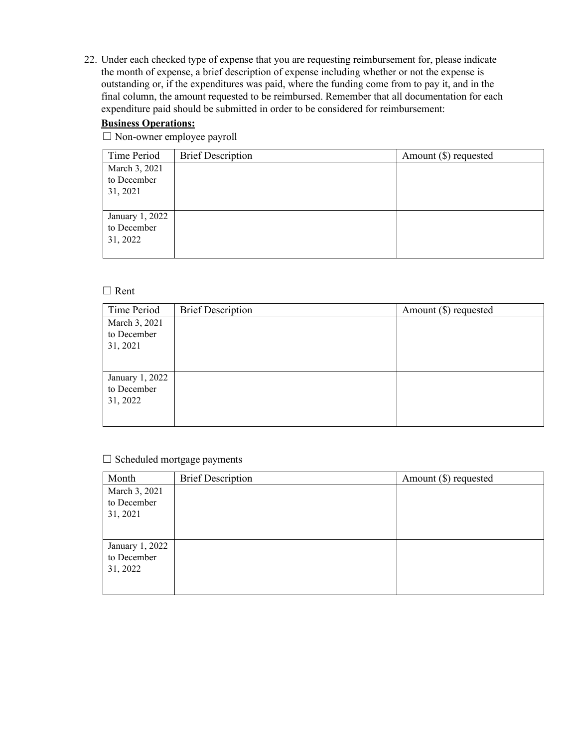22. Under each checked type of expense that you are requesting reimbursement for, please indicate the month of expense, a brief description of expense including whether or not the expense is outstanding or, if the expenditures was paid, where the funding come from to pay it, and in the final column, the amount requested to be reimbursed. Remember that all documentation for each expenditure paid should be submitted in order to be considered for reimbursement:

#### **Business Operations:**

☐ Non-owner employee payroll

| Time Period     | <b>Brief Description</b> | Amount $(\$)$ requested |
|-----------------|--------------------------|-------------------------|
| March 3, 2021   |                          |                         |
| to December     |                          |                         |
| 31, 2021        |                          |                         |
|                 |                          |                         |
| January 1, 2022 |                          |                         |
| to December     |                          |                         |
| 31, 2022        |                          |                         |
|                 |                          |                         |

#### ☐ Rent

| Time Period                                | <b>Brief Description</b> | Amount $(\$)$ requested |
|--------------------------------------------|--------------------------|-------------------------|
| March 3, 2021<br>to December<br>31, 2021   |                          |                         |
| January 1, 2022<br>to December<br>31, 2022 |                          |                         |

#### ☐ Scheduled mortgage payments

| Month           | <b>Brief Description</b> | Amount $(\$)$ requested |
|-----------------|--------------------------|-------------------------|
| March 3, 2021   |                          |                         |
| to December     |                          |                         |
| 31, 2021        |                          |                         |
|                 |                          |                         |
| January 1, 2022 |                          |                         |
| to December     |                          |                         |
| 31, 2022        |                          |                         |
|                 |                          |                         |
|                 |                          |                         |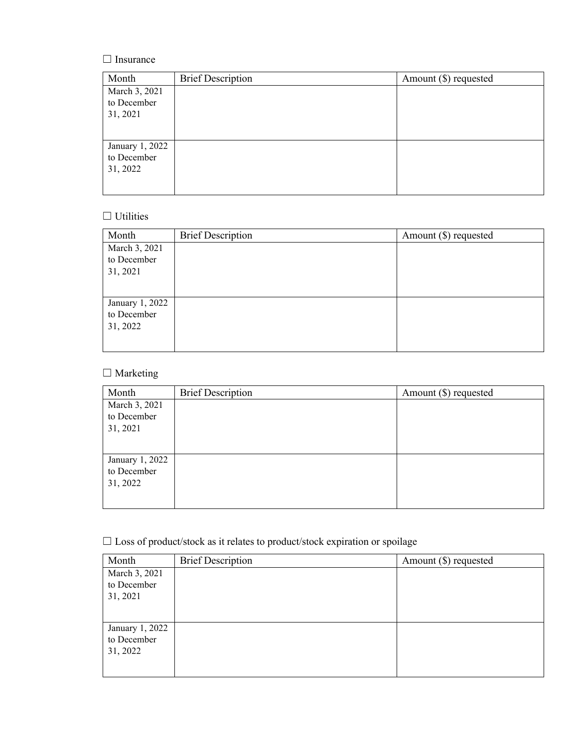# □ Insurance

| Month                                      | <b>Brief Description</b> | Amount $(\$)$ requested |
|--------------------------------------------|--------------------------|-------------------------|
| March 3, 2021<br>to December<br>31, 2021   |                          |                         |
| January 1, 2022<br>to December<br>31, 2022 |                          |                         |

### $\hfill\Box$ <br> <br> Utilities

| Month           | <b>Brief Description</b> | Amount $(\$)$ requested |
|-----------------|--------------------------|-------------------------|
| March 3, 2021   |                          |                         |
| to December     |                          |                         |
| 31, 2021        |                          |                         |
|                 |                          |                         |
| January 1, 2022 |                          |                         |
| to December     |                          |                         |
| 31, 2022        |                          |                         |
|                 |                          |                         |
|                 |                          |                         |

# □ Marketing

| Month           | <b>Brief Description</b> | Amount $(\$)$ requested |
|-----------------|--------------------------|-------------------------|
| March 3, 2021   |                          |                         |
| to December     |                          |                         |
| 31, 2021        |                          |                         |
|                 |                          |                         |
| January 1, 2022 |                          |                         |
| to December     |                          |                         |
| 31, 2022        |                          |                         |
|                 |                          |                         |
|                 |                          |                         |

# $\Box$  Loss of product/stock as it relates to product/stock expiration or spoilage

| Month           | <b>Brief Description</b> | Amount $(\$)$ requested |
|-----------------|--------------------------|-------------------------|
| March 3, 2021   |                          |                         |
| to December     |                          |                         |
| 31, 2021        |                          |                         |
|                 |                          |                         |
| January 1, 2022 |                          |                         |
| to December     |                          |                         |
| 31, 2022        |                          |                         |
|                 |                          |                         |
|                 |                          |                         |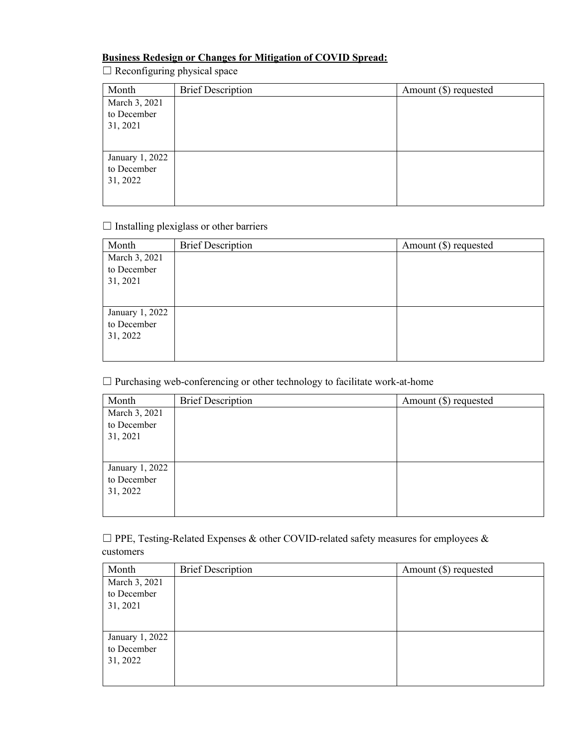#### **Business Redesign or Changes for Mitigation of COVID Spread:**

 $\Box$  Reconfiguring physical space

| Month           | <b>Brief Description</b> | Amount $(\$)$ requested |
|-----------------|--------------------------|-------------------------|
| March 3, 2021   |                          |                         |
| to December     |                          |                         |
| 31, 2021        |                          |                         |
|                 |                          |                         |
| January 1, 2022 |                          |                         |
| to December     |                          |                         |
| 31, 2022        |                          |                         |
|                 |                          |                         |
|                 |                          |                         |

### $\Box$  Installing plexiglass or other barriers

| Month           | <b>Brief Description</b> | Amount $(\$)$ requested |
|-----------------|--------------------------|-------------------------|
| March 3, 2021   |                          |                         |
| to December     |                          |                         |
| 31, 2021        |                          |                         |
|                 |                          |                         |
| January 1, 2022 |                          |                         |
| to December     |                          |                         |
| 31, 2022        |                          |                         |
|                 |                          |                         |
|                 |                          |                         |

☐ Purchasing web-conferencing or other technology to facilitate work-at-home

| Month           | <b>Brief Description</b> | Amount $(\$)$ requested |
|-----------------|--------------------------|-------------------------|
| March 3, 2021   |                          |                         |
| to December     |                          |                         |
| 31, 2021        |                          |                         |
|                 |                          |                         |
| January 1, 2022 |                          |                         |
| to December     |                          |                         |
| 31, 2022        |                          |                         |
|                 |                          |                         |
|                 |                          |                         |

 $\Box$  PPE, Testing-Related Expenses & other COVID-related safety measures for employees & customers

| Month           | <b>Brief Description</b> | Amount $(\$)$ requested |
|-----------------|--------------------------|-------------------------|
| March 3, 2021   |                          |                         |
| to December     |                          |                         |
| 31, 2021        |                          |                         |
|                 |                          |                         |
| January 1, 2022 |                          |                         |
| to December     |                          |                         |
| 31, 2022        |                          |                         |
|                 |                          |                         |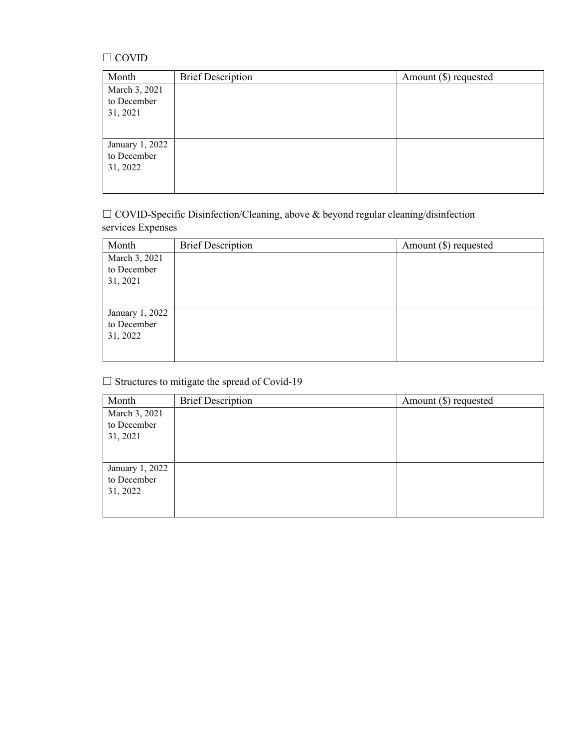#### $\Box$  COVID

| <b>Brief Description</b> | Amount $(\$)$ requested |
|--------------------------|-------------------------|
|                          |                         |
|                          |                         |
|                          |                         |
|                          |                         |
|                          |                         |
|                          |                         |
|                          |                         |
|                          |                         |
|                          |                         |

☐ COVID-Specific Disinfection/Cleaning, above & beyond regular cleaning/disinfection services Expenses

| Month           | <b>Brief Description</b> | Amount $(\$)$ requested |
|-----------------|--------------------------|-------------------------|
| March 3, 2021   |                          |                         |
| to December     |                          |                         |
| 31, 2021        |                          |                         |
|                 |                          |                         |
|                 |                          |                         |
| January 1, 2022 |                          |                         |
| to December     |                          |                         |
| 31, 2022        |                          |                         |
|                 |                          |                         |
|                 |                          |                         |

 $\Box$  Structures to mitigate the spread of Covid-19

| Month           | <b>Brief Description</b> | Amount $(\$)$ requested |
|-----------------|--------------------------|-------------------------|
| March 3, 2021   |                          |                         |
| to December     |                          |                         |
| 31, 2021        |                          |                         |
|                 |                          |                         |
| January 1, 2022 |                          |                         |
| to December     |                          |                         |
| 31, 2022        |                          |                         |
|                 |                          |                         |
|                 |                          |                         |